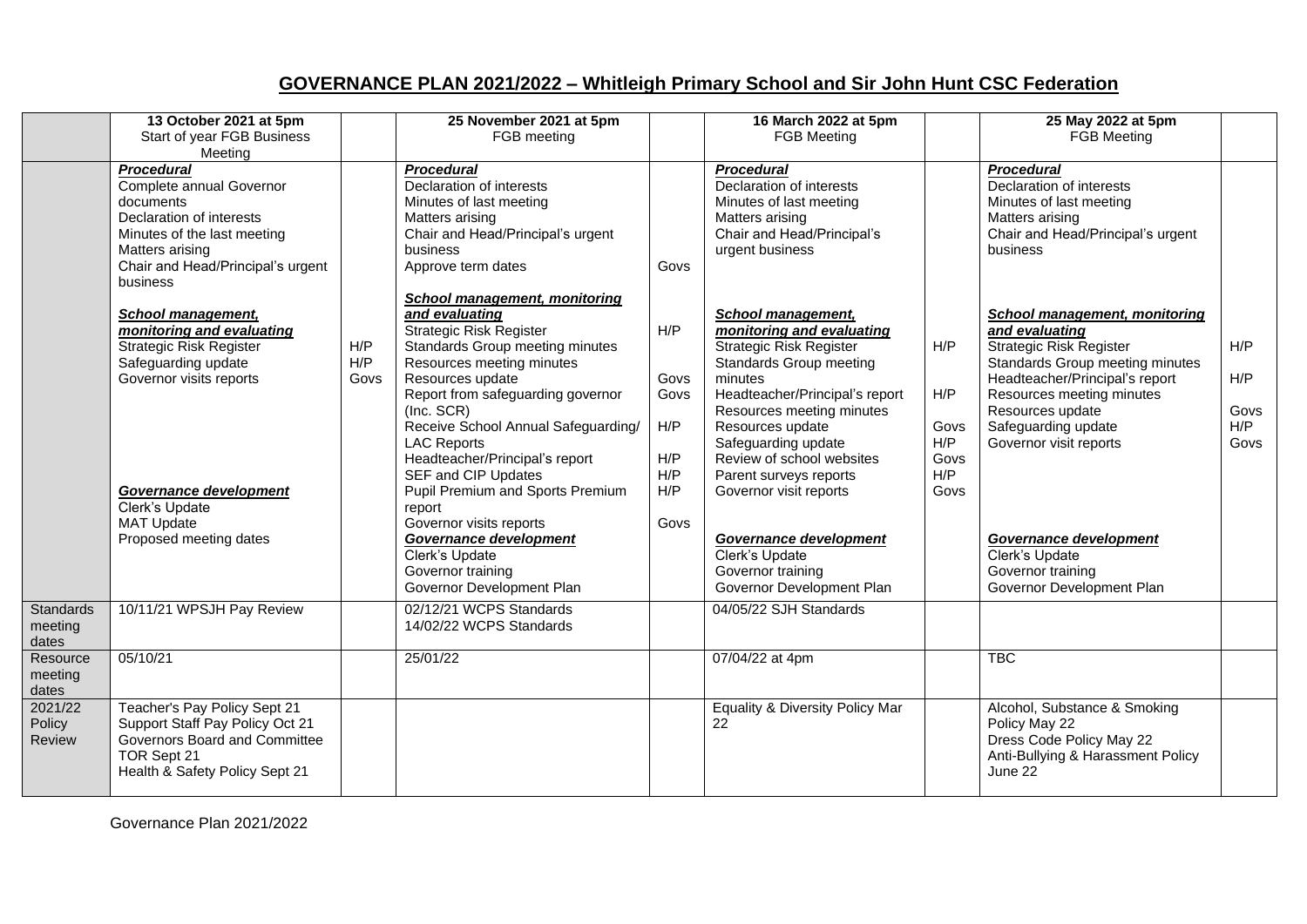## **GOVERNANCE PLAN 2021/2022 – Whitleigh Primary School and Sir John Hunt CSC Federation**

|                                      | 13 October 2021 at 5pm<br>Start of year FGB Business<br>Meeting                                                                                                                           |                    | 25 November 2021 at 5pm<br>FGB meeting                                                                                                                                                                                                                                                                                                                                                    |                                                 | 16 March 2022 at 5pm<br><b>FGB Meeting</b>                                                                                                                                                                                                                                                                         |                                                  | 25 May 2022 at 5pm<br><b>FGB Meeting</b>                                                                                                                                                                                                                        |                                   |
|--------------------------------------|-------------------------------------------------------------------------------------------------------------------------------------------------------------------------------------------|--------------------|-------------------------------------------------------------------------------------------------------------------------------------------------------------------------------------------------------------------------------------------------------------------------------------------------------------------------------------------------------------------------------------------|-------------------------------------------------|--------------------------------------------------------------------------------------------------------------------------------------------------------------------------------------------------------------------------------------------------------------------------------------------------------------------|--------------------------------------------------|-----------------------------------------------------------------------------------------------------------------------------------------------------------------------------------------------------------------------------------------------------------------|-----------------------------------|
|                                      | <b>Procedural</b><br>Complete annual Governor<br>documents<br>Declaration of interests<br>Minutes of the last meeting<br>Matters arising<br>Chair and Head/Principal's urgent<br>business |                    | <b>Procedural</b><br>Declaration of interests<br>Minutes of last meeting<br>Matters arising<br>Chair and Head/Principal's urgent<br>business<br>Approve term dates                                                                                                                                                                                                                        | Govs                                            | <b>Procedural</b><br>Declaration of interests<br>Minutes of last meeting<br>Matters arising<br>Chair and Head/Principal's<br>urgent business                                                                                                                                                                       |                                                  | <b>Procedural</b><br>Declaration of interests<br>Minutes of last meeting<br>Matters arising<br>Chair and Head/Principal's urgent<br>business                                                                                                                    |                                   |
|                                      | <b>School management,</b><br>monitoring and evaluating<br><b>Strategic Risk Register</b><br>Safeguarding update<br>Governor visits reports<br>Governance development                      | H/P<br>H/P<br>Govs | <b>School management, monitoring</b><br>and evaluating<br><b>Strategic Risk Register</b><br>Standards Group meeting minutes<br>Resources meeting minutes<br>Resources update<br>Report from safeguarding governor<br>(Inc. SCR)<br>Receive School Annual Safeguarding/<br><b>LAC Reports</b><br>Headteacher/Principal's report<br>SEF and CIP Updates<br>Pupil Premium and Sports Premium | H/P<br>Govs<br>Govs<br>H/P<br>H/P<br>H/P<br>H/P | School management,<br>monitoring and evaluating<br><b>Strategic Risk Register</b><br>Standards Group meeting<br>minutes<br>Headteacher/Principal's report<br>Resources meeting minutes<br>Resources update<br>Safeguarding update<br>Review of school websites<br>Parent surveys reports<br>Governor visit reports | H/P<br>H/P<br>Govs<br>H/P<br>Govs<br>H/P<br>Govs | <b>School management, monitoring</b><br>and evaluating<br><b>Strategic Risk Register</b><br>Standards Group meeting minutes<br>Headteacher/Principal's report<br>Resources meeting minutes<br>Resources update<br>Safeguarding update<br>Governor visit reports | H/P<br>H/P<br>Govs<br>H/P<br>Govs |
|                                      | Clerk's Update<br><b>MAT Update</b><br>Proposed meeting dates                                                                                                                             |                    | report<br>Governor visits reports<br>Governance development<br>Clerk's Update<br>Governor training<br>Governor Development Plan                                                                                                                                                                                                                                                           | Govs                                            | Governance development<br>Clerk's Update<br>Governor training<br>Governor Development Plan                                                                                                                                                                                                                         |                                                  | Governance development<br>Clerk's Update<br>Governor training<br>Governor Development Plan                                                                                                                                                                      |                                   |
| <b>Standards</b><br>meeting<br>dates | 10/11/21 WPSJH Pay Review                                                                                                                                                                 |                    | 02/12/21 WCPS Standards<br>14/02/22 WCPS Standards                                                                                                                                                                                                                                                                                                                                        |                                                 | 04/05/22 SJH Standards                                                                                                                                                                                                                                                                                             |                                                  |                                                                                                                                                                                                                                                                 |                                   |
| Resource<br>meeting<br>dates         | 05/10/21                                                                                                                                                                                  |                    | 25/01/22                                                                                                                                                                                                                                                                                                                                                                                  |                                                 | 07/04/22 at 4pm                                                                                                                                                                                                                                                                                                    |                                                  | <b>TBC</b>                                                                                                                                                                                                                                                      |                                   |
| 2021/22<br>Policy<br>Review          | Teacher's Pay Policy Sept 21<br>Support Staff Pay Policy Oct 21<br>Governors Board and Committee<br>TOR Sept 21<br>Health & Safety Policy Sept 21                                         |                    |                                                                                                                                                                                                                                                                                                                                                                                           |                                                 | Equality & Diversity Policy Mar<br>22                                                                                                                                                                                                                                                                              |                                                  | Alcohol, Substance & Smoking<br>Policy May 22<br>Dress Code Policy May 22<br>Anti-Bullying & Harassment Policy<br>June 22                                                                                                                                       |                                   |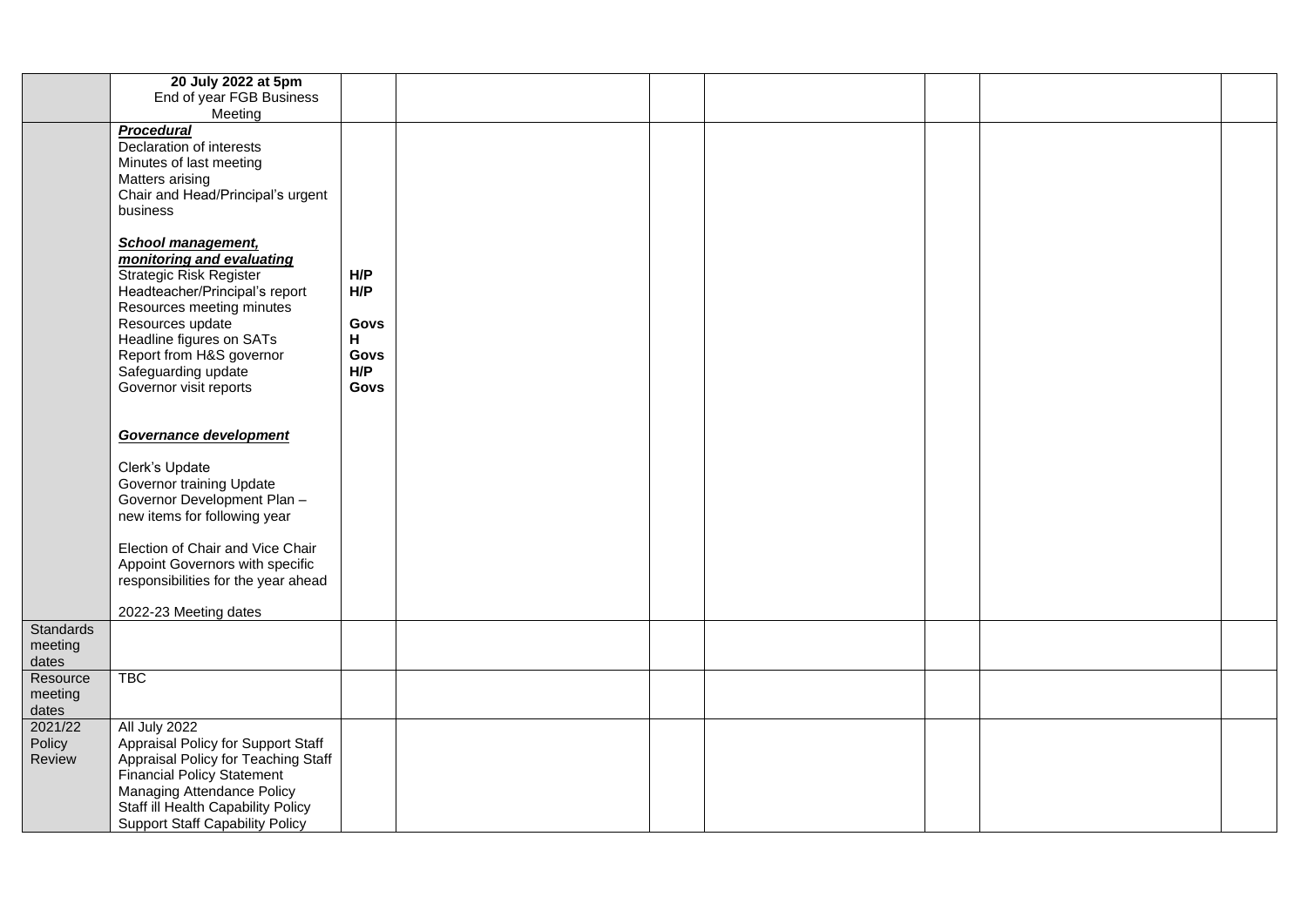|                                      | 20 July 2022 at 5pm<br>End of year FGB Business                                                                                                                                                                                                                            |                           |  |  |  |
|--------------------------------------|----------------------------------------------------------------------------------------------------------------------------------------------------------------------------------------------------------------------------------------------------------------------------|---------------------------|--|--|--|
|                                      | Meeting                                                                                                                                                                                                                                                                    |                           |  |  |  |
|                                      | <b>Procedural</b><br>Declaration of interests<br>Minutes of last meeting<br>Matters arising<br>Chair and Head/Principal's urgent<br>business<br><b>School management,</b><br>monitoring and evaluating<br><b>Strategic Risk Register</b><br>Headteacher/Principal's report | H/P<br>H/P                |  |  |  |
|                                      | Resources meeting minutes<br>Resources update<br>Headline figures on SATs<br>Report from H&S governor<br>Safeguarding update                                                                                                                                               | Govs<br>Н.<br>Govs<br>H/P |  |  |  |
|                                      | Governor visit reports<br>Governance development                                                                                                                                                                                                                           | Govs                      |  |  |  |
|                                      | Clerk's Update<br>Governor training Update<br>Governor Development Plan -<br>new items for following year                                                                                                                                                                  |                           |  |  |  |
|                                      | Election of Chair and Vice Chair<br>Appoint Governors with specific<br>responsibilities for the year ahead<br>2022-23 Meeting dates                                                                                                                                        |                           |  |  |  |
| <b>Standards</b><br>meeting<br>dates |                                                                                                                                                                                                                                                                            |                           |  |  |  |
| Resource<br>meeting<br>dates         | <b>TBC</b>                                                                                                                                                                                                                                                                 |                           |  |  |  |
| 2021/22<br>Policy<br>Review          | All July 2022<br>Appraisal Policy for Support Staff<br>Appraisal Policy for Teaching Staff<br><b>Financial Policy Statement</b><br>Managing Attendance Policy<br>Staff ill Health Capability Policy<br><b>Support Staff Capability Policy</b>                              |                           |  |  |  |